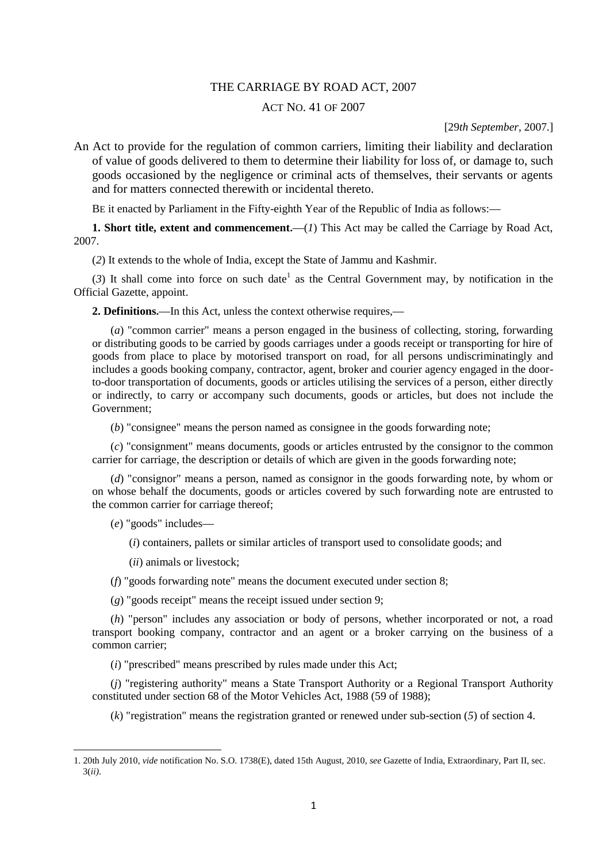## THE CARRIAGE BY ROAD ACT, 2007

## ACT NO. 41 OF 2007

[29*th September*, 2007.]

An Act to provide for the regulation of common carriers, limiting their liability and declaration of value of goods delivered to them to determine their liability for loss of, or damage to, such goods occasioned by the negligence or criminal acts of themselves, their servants or agents and for matters connected therewith or incidental thereto.

BE it enacted by Parliament in the Fifty-eighth Year of the Republic of India as follows:**—**

**1. Short title, extent and commencement.—**(*1*) This Act may be called the Carriage by Road Act, 2007.

(*2*) It extends to the whole of India, except the State of Jammu and Kashmir.

 $(3)$  It shall come into force on such date<sup>1</sup> as the Central Government may, by notification in the Official Gazette, appoint.

**2. Definitions.—**In this Act, unless the context otherwise requires,**—**

(*a*) "common carrier" means a person engaged in the business of collecting, storing, forwarding or distributing goods to be carried by goods carriages under a goods receipt or transporting for hire of goods from place to place by motorised transport on road, for all persons undiscriminatingly and includes a goods booking company, contractor, agent, broker and courier agency engaged in the doorto-door transportation of documents, goods or articles utilising the services of a person, either directly or indirectly, to carry or accompany such documents, goods or articles, but does not include the Government;

(*b*) "consignee" means the person named as consignee in the goods forwarding note;

(*c*) "consignment" means documents, goods or articles entrusted by the consignor to the common carrier for carriage, the description or details of which are given in the goods forwarding note;

(*d*) "consignor" means a person, named as consignor in the goods forwarding note, by whom or on whose behalf the documents, goods or articles covered by such forwarding note are entrusted to the common carrier for carriage thereof;

(*e*) "goods" includes**—**

**.** 

(*i*) containers, pallets or similar articles of transport used to consolidate goods; and

(*ii*) animals or livestock;

(*f*) "goods forwarding note" means the document executed under section 8;

(*g*) "goods receipt" means the receipt issued under section 9;

(*h*) "person" includes any association or body of persons, whether incorporated or not, a road transport booking company, contractor and an agent or a broker carrying on the business of a common carrier;

(*i*) "prescribed" means prescribed by rules made under this Act;

(*j*) "registering authority" means a State Transport Authority or a Regional Transport Authority constituted under section 68 of the Motor Vehicles Act, 1988 (59 of 1988);

(*k*) "registration" means the registration granted or renewed under sub-section (*5*) of section 4.

<sup>1. 20</sup>th July 2010, *vide* notification No. S.O. 1738(E), dated 15th August, 2010, *see* Gazette of India, Extraordinary, Part II, sec. 3(*ii)*.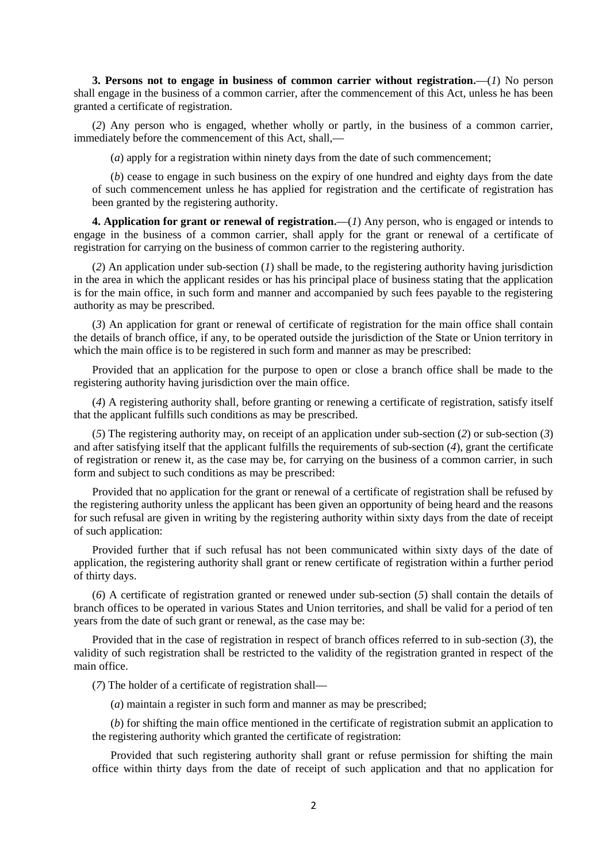**3. Persons not to engage in business of common carrier without registration.—**(*1*) No person shall engage in the business of a common carrier, after the commencement of this Act, unless he has been granted a certificate of registration.

(*2*) Any person who is engaged, whether wholly or partly, in the business of a common carrier, immediately before the commencement of this Act, shall,**—**

(*a*) apply for a registration within ninety days from the date of such commencement;

(*b*) cease to engage in such business on the expiry of one hundred and eighty days from the date of such commencement unless he has applied for registration and the certificate of registration has been granted by the registering authority.

**4. Application for grant or renewal of registration.—**(*1*) Any person, who is engaged or intends to engage in the business of a common carrier, shall apply for the grant or renewal of a certificate of registration for carrying on the business of common carrier to the registering authority.

(*2*) An application under sub-section (*1*) shall be made, to the registering authority having jurisdiction in the area in which the applicant resides or has his principal place of business stating that the application is for the main office, in such form and manner and accompanied by such fees payable to the registering authority as may be prescribed.

(*3*) An application for grant or renewal of certificate of registration for the main office shall contain the details of branch office, if any, to be operated outside the jurisdiction of the State or Union territory in which the main office is to be registered in such form and manner as may be prescribed:

Provided that an application for the purpose to open or close a branch office shall be made to the registering authority having jurisdiction over the main office.

(*4*) A registering authority shall, before granting or renewing a certificate of registration, satisfy itself that the applicant fulfills such conditions as may be prescribed.

(*5*) The registering authority may, on receipt of an application under sub-section (*2*) or sub-section (*3*) and after satisfying itself that the applicant fulfills the requirements of sub-section (*4*), grant the certificate of registration or renew it, as the case may be, for carrying on the business of a common carrier, in such form and subject to such conditions as may be prescribed:

Provided that no application for the grant or renewal of a certificate of registration shall be refused by the registering authority unless the applicant has been given an opportunity of being heard and the reasons for such refusal are given in writing by the registering authority within sixty days from the date of receipt of such application:

Provided further that if such refusal has not been communicated within sixty days of the date of application, the registering authority shall grant or renew certificate of registration within a further period of thirty days.

(*6*) A certificate of registration granted or renewed under sub-section (*5*) shall contain the details of branch offices to be operated in various States and Union territories, and shall be valid for a period of ten years from the date of such grant or renewal, as the case may be:

Provided that in the case of registration in respect of branch offices referred to in sub-section (*3*), the validity of such registration shall be restricted to the validity of the registration granted in respect of the main office.

(*7*) The holder of a certificate of registration shall**—**

(*a*) maintain a register in such form and manner as may be prescribed;

(*b*) for shifting the main office mentioned in the certificate of registration submit an application to the registering authority which granted the certificate of registration:

Provided that such registering authority shall grant or refuse permission for shifting the main office within thirty days from the date of receipt of such application and that no application for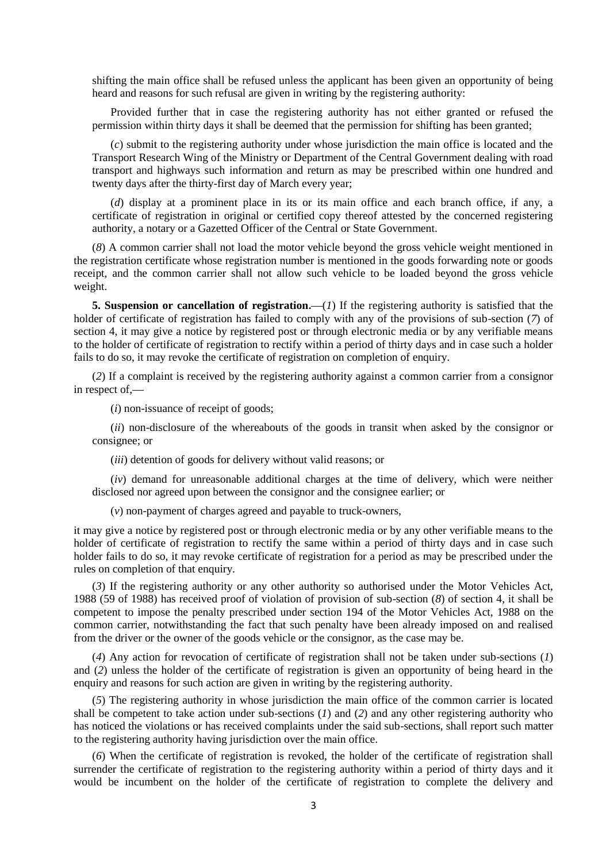shifting the main office shall be refused unless the applicant has been given an opportunity of being heard and reasons for such refusal are given in writing by the registering authority:

Provided further that in case the registering authority has not either granted or refused the permission within thirty days it shall be deemed that the permission for shifting has been granted;

(*c*) submit to the registering authority under whose jurisdiction the main office is located and the Transport Research Wing of the Ministry or Department of the Central Government dealing with road transport and highways such information and return as may be prescribed within one hundred and twenty days after the thirty-first day of March every year;

(*d*) display at a prominent place in its or its main office and each branch office, if any, a certificate of registration in original or certified copy thereof attested by the concerned registering authority, a notary or a Gazetted Officer of the Central or State Government.

(*8*) A common carrier shall not load the motor vehicle beyond the gross vehicle weight mentioned in the registration certificate whose registration number is mentioned in the goods forwarding note or goods receipt, and the common carrier shall not allow such vehicle to be loaded beyond the gross vehicle weight.

**5. Suspension or cancellation of registration.—(***1***) If the registering authority is satisfied that the** holder of certificate of registration has failed to comply with any of the provisions of sub-section (*7*) of section 4, it may give a notice by registered post or through electronic media or by any verifiable means to the holder of certificate of registration to rectify within a period of thirty days and in case such a holder fails to do so, it may revoke the certificate of registration on completion of enquiry.

(*2*) If a complaint is received by the registering authority against a common carrier from a consignor in respect of,**—**

(*i*) non-issuance of receipt of goods;

(*ii*) non-disclosure of the whereabouts of the goods in transit when asked by the consignor or consignee; or

(*iii*) detention of goods for delivery without valid reasons; or

(*iv*) demand for unreasonable additional charges at the time of delivery, which were neither disclosed nor agreed upon between the consignor and the consignee earlier; or

(*v*) non-payment of charges agreed and payable to truck-owners,

it may give a notice by registered post or through electronic media or by any other verifiable means to the holder of certificate of registration to rectify the same within a period of thirty days and in case such holder fails to do so, it may revoke certificate of registration for a period as may be prescribed under the rules on completion of that enquiry.

(*3*) If the registering authority or any other authority so authorised under the Motor Vehicles Act, 1988 (59 of 1988) has received proof of violation of provision of sub-section (*8*) of section 4, it shall be competent to impose the penalty prescribed under section 194 of the Motor Vehicles Act, 1988 on the common carrier, notwithstanding the fact that such penalty have been already imposed on and realised from the driver or the owner of the goods vehicle or the consignor, as the case may be.

(*4*) Any action for revocation of certificate of registration shall not be taken under sub-sections (*1*) and (*2*) unless the holder of the certificate of registration is given an opportunity of being heard in the enquiry and reasons for such action are given in writing by the registering authority.

(*5*) The registering authority in whose jurisdiction the main office of the common carrier is located shall be competent to take action under sub-sections (*1*) and (*2*) and any other registering authority who has noticed the violations or has received complaints under the said sub-sections, shall report such matter to the registering authority having jurisdiction over the main office.

(*6*) When the certificate of registration is revoked, the holder of the certificate of registration shall surrender the certificate of registration to the registering authority within a period of thirty days and it would be incumbent on the holder of the certificate of registration to complete the delivery and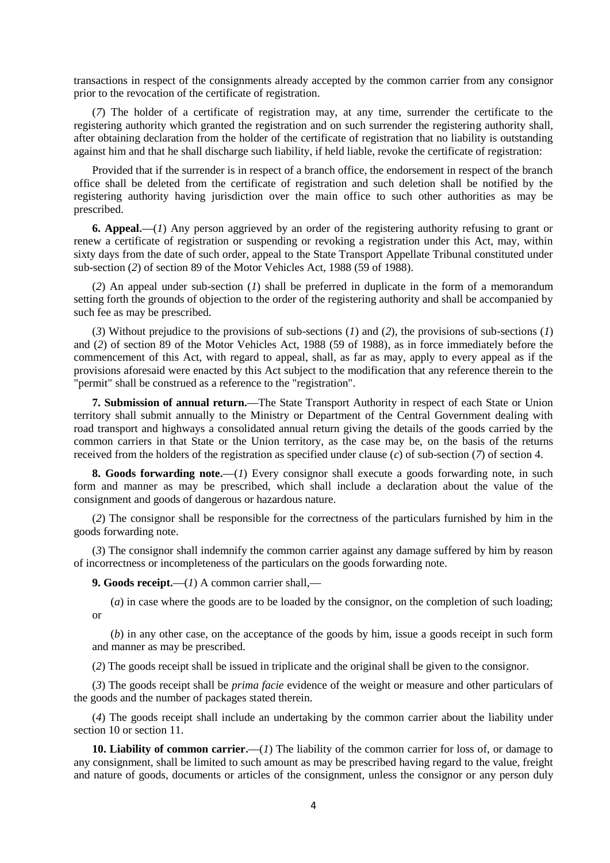transactions in respect of the consignments already accepted by the common carrier from any consignor prior to the revocation of the certificate of registration.

(*7*) The holder of a certificate of registration may, at any time, surrender the certificate to the registering authority which granted the registration and on such surrender the registering authority shall, after obtaining declaration from the holder of the certificate of registration that no liability is outstanding against him and that he shall discharge such liability, if held liable, revoke the certificate of registration:

Provided that if the surrender is in respect of a branch office, the endorsement in respect of the branch office shall be deleted from the certificate of registration and such deletion shall be notified by the registering authority having jurisdiction over the main office to such other authorities as may be prescribed.

**6. Appeal.—**(*1*) Any person aggrieved by an order of the registering authority refusing to grant or renew a certificate of registration or suspending or revoking a registration under this Act, may, within sixty days from the date of such order, appeal to the State Transport Appellate Tribunal constituted under sub-section (*2*) of section 89 of the Motor Vehicles Act, 1988 (59 of 1988).

(*2*) An appeal under sub-section (*1*) shall be preferred in duplicate in the form of a memorandum setting forth the grounds of objection to the order of the registering authority and shall be accompanied by such fee as may be prescribed.

(*3*) Without prejudice to the provisions of sub-sections (*1*) and (*2*), the provisions of sub-sections (*1*) and (*2*) of section 89 of the Motor Vehicles Act, 1988 (59 of 1988), as in force immediately before the commencement of this Act, with regard to appeal, shall, as far as may, apply to every appeal as if the provisions aforesaid were enacted by this Act subject to the modification that any reference therein to the "permit" shall be construed as a reference to the "registration".

**7. Submission of annual return.—**The State Transport Authority in respect of each State or Union territory shall submit annually to the Ministry or Department of the Central Government dealing with road transport and highways a consolidated annual return giving the details of the goods carried by the common carriers in that State or the Union territory, as the case may be, on the basis of the returns received from the holders of the registration as specified under clause (*c*) of sub-section (*7*) of section 4.

**8. Goods forwarding note.—**(*1*) Every consignor shall execute a goods forwarding note, in such form and manner as may be prescribed, which shall include a declaration about the value of the consignment and goods of dangerous or hazardous nature.

(*2*) The consignor shall be responsible for the correctness of the particulars furnished by him in the goods forwarding note.

(*3*) The consignor shall indemnify the common carrier against any damage suffered by him by reason of incorrectness or incompleteness of the particulars on the goods forwarding note.

**9. Goods receipt.—**(*1*) A common carrier shall,**—**

(*a*) in case where the goods are to be loaded by the consignor, on the completion of such loading; or

(*b*) in any other case, on the acceptance of the goods by him, issue a goods receipt in such form and manner as may be prescribed.

(*2*) The goods receipt shall be issued in triplicate and the original shall be given to the consignor.

(*3*) The goods receipt shall be *prima facie* evidence of the weight or measure and other particulars of the goods and the number of packages stated therein.

(*4*) The goods receipt shall include an undertaking by the common carrier about the liability under section 10 or section 11.

**10. Liability of common carrier.—**(*1*) The liability of the common carrier for loss of, or damage to any consignment, shall be limited to such amount as may be prescribed having regard to the value, freight and nature of goods, documents or articles of the consignment, unless the consignor or any person duly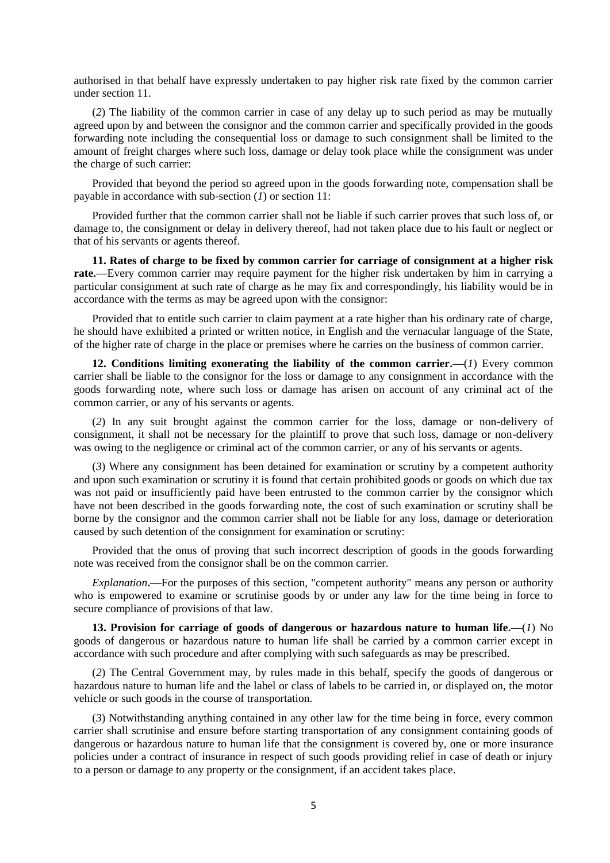authorised in that behalf have expressly undertaken to pay higher risk rate fixed by the common carrier under section 11.

(*2*) The liability of the common carrier in case of any delay up to such period as may be mutually agreed upon by and between the consignor and the common carrier and specifically provided in the goods forwarding note including the consequential loss or damage to such consignment shall be limited to the amount of freight charges where such loss, damage or delay took place while the consignment was under the charge of such carrier:

Provided that beyond the period so agreed upon in the goods forwarding note, compensation shall be payable in accordance with sub-section (*1*) or section 11:

Provided further that the common carrier shall not be liable if such carrier proves that such loss of, or damage to, the consignment or delay in delivery thereof, had not taken place due to his fault or neglect or that of his servants or agents thereof.

**11. Rates of charge to be fixed by common carrier for carriage of consignment at a higher risk rate.—**Every common carrier may require payment for the higher risk undertaken by him in carrying a particular consignment at such rate of charge as he may fix and correspondingly, his liability would be in accordance with the terms as may be agreed upon with the consignor:

Provided that to entitle such carrier to claim payment at a rate higher than his ordinary rate of charge, he should have exhibited a printed or written notice, in English and the vernacular language of the State, of the higher rate of charge in the place or premises where he carries on the business of common carrier.

**12. Conditions limiting exonerating the liability of the common carrier.—**(*1*) Every common carrier shall be liable to the consignor for the loss or damage to any consignment in accordance with the goods forwarding note, where such loss or damage has arisen on account of any criminal act of the common carrier, or any of his servants or agents.

(*2*) In any suit brought against the common carrier for the loss, damage or non-delivery of consignment, it shall not be necessary for the plaintiff to prove that such loss, damage or non-delivery was owing to the negligence or criminal act of the common carrier, or any of his servants or agents.

(*3*) Where any consignment has been detained for examination or scrutiny by a competent authority and upon such examination or scrutiny it is found that certain prohibited goods or goods on which due tax was not paid or insufficiently paid have been entrusted to the common carrier by the consignor which have not been described in the goods forwarding note, the cost of such examination or scrutiny shall be borne by the consignor and the common carrier shall not be liable for any loss, damage or deterioration caused by such detention of the consignment for examination or scrutiny:

Provided that the onus of proving that such incorrect description of goods in the goods forwarding note was received from the consignor shall be on the common carrier.

*Explanation***.—**For the purposes of this section, "competent authority" means any person or authority who is empowered to examine or scrutinise goods by or under any law for the time being in force to secure compliance of provisions of that law.

**13. Provision for carriage of goods of dangerous or hazardous nature to human life.—**(*1*) No goods of dangerous or hazardous nature to human life shall be carried by a common carrier except in accordance with such procedure and after complying with such safeguards as may be prescribed.

(*2*) The Central Government may, by rules made in this behalf, specify the goods of dangerous or hazardous nature to human life and the label or class of labels to be carried in, or displayed on, the motor vehicle or such goods in the course of transportation.

(*3*) Notwithstanding anything contained in any other law for the time being in force, every common carrier shall scrutinise and ensure before starting transportation of any consignment containing goods of dangerous or hazardous nature to human life that the consignment is covered by, one or more insurance policies under a contract of insurance in respect of such goods providing relief in case of death or injury to a person or damage to any property or the consignment, if an accident takes place.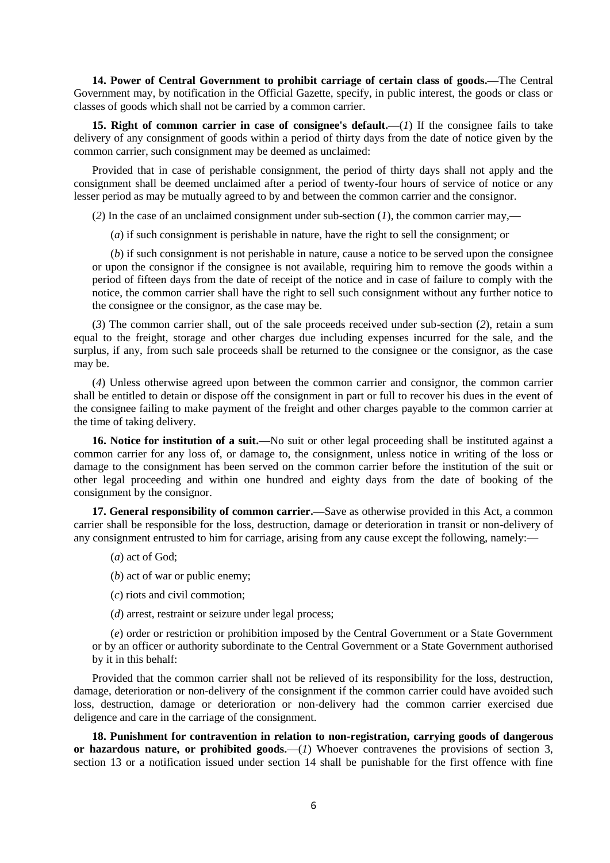**14. Power of Central Government to prohibit carriage of certain class of goods.—**The Central Government may, by notification in the Official Gazette, specify, in public interest, the goods or class or classes of goods which shall not be carried by a common carrier.

**15. Right of common carrier in case of consignee's default.—**(*1*) If the consignee fails to take delivery of any consignment of goods within a period of thirty days from the date of notice given by the common carrier, such consignment may be deemed as unclaimed:

Provided that in case of perishable consignment, the period of thirty days shall not apply and the consignment shall be deemed unclaimed after a period of twenty-four hours of service of notice or any lesser period as may be mutually agreed to by and between the common carrier and the consignor.

(*2*) In the case of an unclaimed consignment under sub-section (*1*), the common carrier may,**—**

(*a*) if such consignment is perishable in nature, have the right to sell the consignment; or

(*b*) if such consignment is not perishable in nature, cause a notice to be served upon the consignee or upon the consignor if the consignee is not available, requiring him to remove the goods within a period of fifteen days from the date of receipt of the notice and in case of failure to comply with the notice, the common carrier shall have the right to sell such consignment without any further notice to the consignee or the consignor, as the case may be.

(*3*) The common carrier shall, out of the sale proceeds received under sub-section (*2*), retain a sum equal to the freight, storage and other charges due including expenses incurred for the sale, and the surplus, if any, from such sale proceeds shall be returned to the consignee or the consignor, as the case may be.

(*4*) Unless otherwise agreed upon between the common carrier and consignor, the common carrier shall be entitled to detain or dispose off the consignment in part or full to recover his dues in the event of the consignee failing to make payment of the freight and other charges payable to the common carrier at the time of taking delivery.

**16. Notice for institution of a suit.—**No suit or other legal proceeding shall be instituted against a common carrier for any loss of, or damage to, the consignment, unless notice in writing of the loss or damage to the consignment has been served on the common carrier before the institution of the suit or other legal proceeding and within one hundred and eighty days from the date of booking of the consignment by the consignor.

**17. General responsibility of common carrier.—**Save as otherwise provided in this Act, a common carrier shall be responsible for the loss, destruction, damage or deterioration in transit or non-delivery of any consignment entrusted to him for carriage, arising from any cause except the following, namely:**—**

- (*a*) act of God;
- (*b*) act of war or public enemy;
- (*c*) riots and civil commotion;
- (*d*) arrest, restraint or seizure under legal process;

(*e*) order or restriction or prohibition imposed by the Central Government or a State Government or by an officer or authority subordinate to the Central Government or a State Government authorised by it in this behalf:

Provided that the common carrier shall not be relieved of its responsibility for the loss, destruction, damage, deterioration or non-delivery of the consignment if the common carrier could have avoided such loss, destruction, damage or deterioration or non-delivery had the common carrier exercised due deligence and care in the carriage of the consignment.

**18. Punishment for contravention in relation to non-registration, carrying goods of dangerous**  or hazardous nature, or prohibited goods.—(*1*) Whoever contravenes the provisions of section 3, section 13 or a notification issued under section 14 shall be punishable for the first offence with fine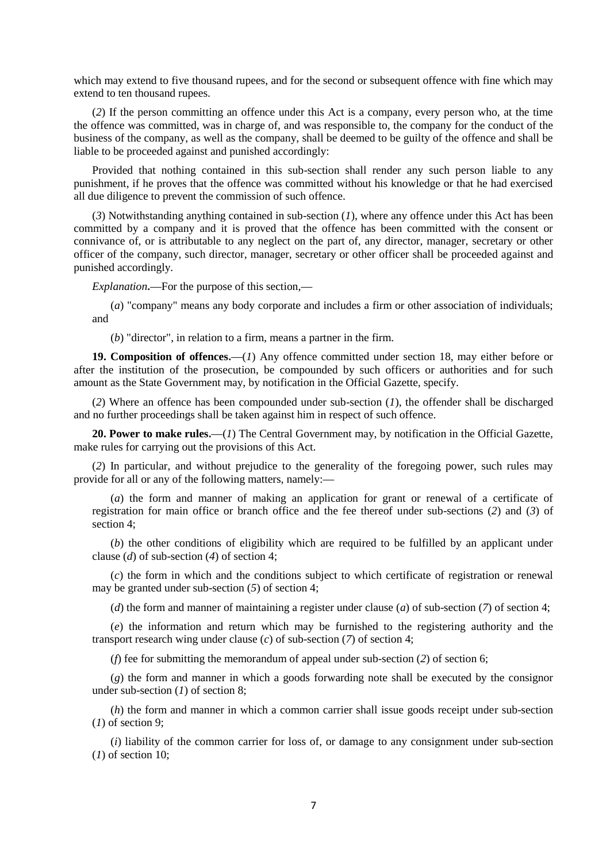which may extend to five thousand rupees, and for the second or subsequent offence with fine which may extend to ten thousand rupees.

(*2*) If the person committing an offence under this Act is a company, every person who, at the time the offence was committed, was in charge of, and was responsible to, the company for the conduct of the business of the company, as well as the company, shall be deemed to be guilty of the offence and shall be liable to be proceeded against and punished accordingly:

Provided that nothing contained in this sub-section shall render any such person liable to any punishment, if he proves that the offence was committed without his knowledge or that he had exercised all due diligence to prevent the commission of such offence.

(*3*) Notwithstanding anything contained in sub-section (*1*), where any offence under this Act has been committed by a company and it is proved that the offence has been committed with the consent or connivance of, or is attributable to any neglect on the part of, any director, manager, secretary or other officer of the company, such director, manager, secretary or other officer shall be proceeded against and punished accordingly.

*Explanation***.—**For the purpose of this section,**—**

(*a*) "company" means any body corporate and includes a firm or other association of individuals; and

(*b*) "director", in relation to a firm, means a partner in the firm.

**19. Composition of offences.—**(*1*) Any offence committed under section 18, may either before or after the institution of the prosecution, be compounded by such officers or authorities and for such amount as the State Government may, by notification in the Official Gazette, specify.

(*2*) Where an offence has been compounded under sub-section (*1*), the offender shall be discharged and no further proceedings shall be taken against him in respect of such offence.

**20. Power to make rules.—**(*1*) The Central Government may, by notification in the Official Gazette, make rules for carrying out the provisions of this Act.

(*2*) In particular, and without prejudice to the generality of the foregoing power, such rules may provide for all or any of the following matters, namely:**—**

(*a*) the form and manner of making an application for grant or renewal of a certificate of registration for main office or branch office and the fee thereof under sub-sections (*2*) and (*3*) of section 4<sup>.</sup>

(*b*) the other conditions of eligibility which are required to be fulfilled by an applicant under clause (*d*) of sub-section (*4*) of section 4;

(*c*) the form in which and the conditions subject to which certificate of registration or renewal may be granted under sub-section (*5*) of section 4;

(*d*) the form and manner of maintaining a register under clause (*a*) of sub-section (*7*) of section 4;

(*e*) the information and return which may be furnished to the registering authority and the transport research wing under clause (*c*) of sub-section (*7*) of section 4;

(*f*) fee for submitting the memorandum of appeal under sub-section (*2*) of section 6;

(*g*) the form and manner in which a goods forwarding note shall be executed by the consignor under sub-section (*1*) of section 8;

(*h*) the form and manner in which a common carrier shall issue goods receipt under sub-section (*1*) of section 9;

(*i*) liability of the common carrier for loss of, or damage to any consignment under sub-section (*1*) of section 10;